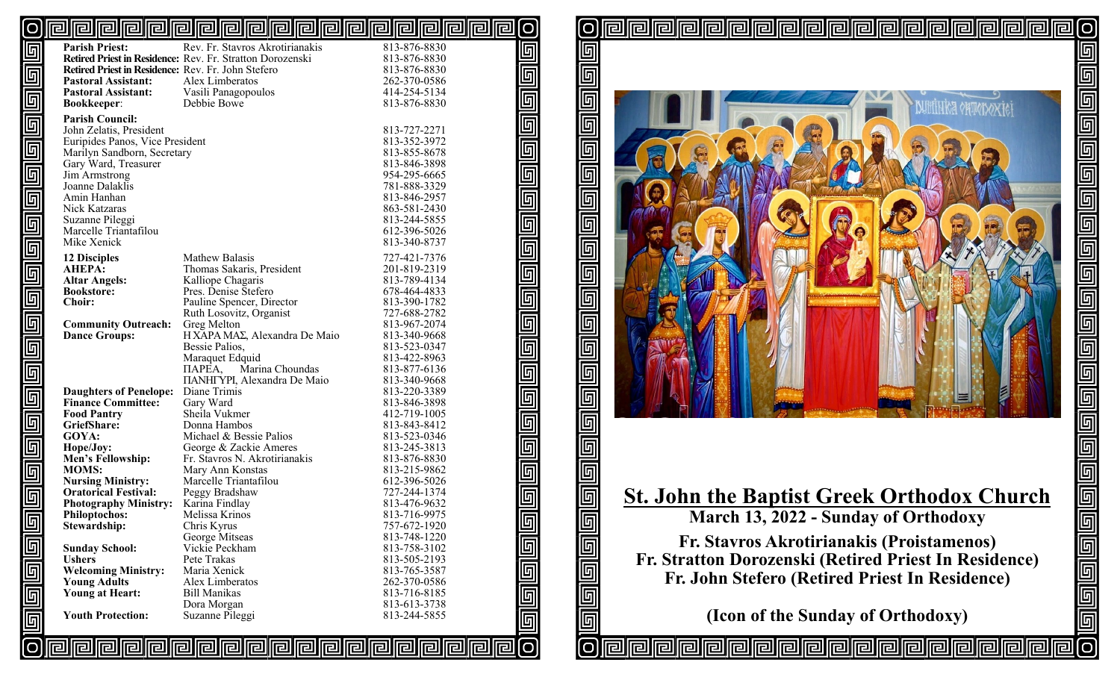#### @@@@@@@@@@@@@@@@@@@@@@ [O [O

 $\overline{\mathbb{F}}$ 

回同

回回回

 $\overline{\mathbb{F}}$ 

 $\overline{\mathbb{F}}$ 

 $\overline{\mathbb{F}}$ 

 $\overline{\mathbb{F}}$ 

[O

回

回

回

回

匠

回

ſσ

lrall

|                                  | <b>Parish Priest:</b>                              | Rev. Fr. Stavros Akrotirianakis                           | 813-876-8830 |
|----------------------------------|----------------------------------------------------|-----------------------------------------------------------|--------------|
| $\overline{\mathbb{F}}$          |                                                    | Retired Priest in Residence: Rev. Fr. Stratton Dorozenski | 813-876-8830 |
|                                  | Retired Priest in Residence: Rev. Fr. John Stefero |                                                           | 813-876-8830 |
|                                  | <b>Pastoral Assistant:</b>                         | Alex Limberatos                                           | 262-370-0586 |
|                                  | <b>Pastoral Assistant:</b>                         |                                                           | 414-254-5134 |
|                                  |                                                    | Vasili Panagopoulos<br>Debbie Bowe                        | 813-876-8830 |
|                                  | <b>Bookkeeper:</b>                                 |                                                           |              |
|                                  | <b>Parish Council:</b>                             |                                                           |              |
|                                  | John Zelatis, President                            |                                                           | 813-727-2271 |
|                                  | Euripides Panos, Vice President                    |                                                           | 813-352-3972 |
|                                  | Marilyn Sandborn, Secretary                        |                                                           | 813-855-8678 |
|                                  | Gary Ward, Treasurer                               |                                                           | 813-846-3898 |
|                                  | Jim Armstrong                                      |                                                           | 954-295-6665 |
|                                  | Joanne Dalaklis                                    |                                                           | 781-888-3329 |
|                                  | Amin Hanhan                                        |                                                           | 813-846-2957 |
|                                  | Nick Katzaras                                      |                                                           | 863-581-2430 |
|                                  | Suzanne Pileggi                                    |                                                           | 813-244-5855 |
|                                  | Marcelle Triantafilou                              |                                                           | 612-396-5026 |
|                                  | Mike Xenick                                        |                                                           | 813-340-8737 |
| ها والعالم والماها والعالما والو | <b>12 Disciples</b>                                | Mathew Balasis                                            | 727-421-7376 |
|                                  | <b>AHEPA:</b>                                      | Thomas Sakaris, President                                 | 201-819-2319 |
|                                  | <b>Altar Angels:</b>                               | Kalliope Chagaris                                         | 813-789-4134 |
|                                  | <b>Bookstore:</b>                                  | Pres. Denise Stefero                                      | 678-464-4833 |
|                                  | <b>Choir:</b>                                      | Pauline Spencer, Director                                 | 813-390-1782 |
|                                  |                                                    | Ruth Losovitz, Organist                                   | 727-688-2782 |
|                                  | <b>Community Outreach:</b>                         | Greg Melton                                               | 813-967-2074 |
|                                  | <b>Dance Groups:</b>                               | H XAPA MAΣ, Alexandra De Maio                             | 813-340-9668 |
|                                  |                                                    | Bessie Palios,                                            | 813-523-0347 |
|                                  |                                                    | Maraquet Edquid                                           | 813-422-8963 |
|                                  |                                                    | Marina Choundas<br>ПАРЕА,                                 | 813-877-6136 |
|                                  |                                                    | <b>ΠΑΝΗΓΥΡΙ, Alexandra De Maio</b>                        | 813-340-9668 |
|                                  | <b>Daughters of Penelope:</b>                      | Diane Trimis                                              | 813-220-3389 |
|                                  | <b>Finance Committee:</b>                          | Gary Ward                                                 | 813-846-3898 |
|                                  | <b>Food Pantry</b>                                 | Sheila Vukmer                                             | 412-719-1005 |
|                                  | GriefShare:                                        | Donna Hambos                                              | 813-843-8412 |
|                                  | GOYA:                                              | Michael & Bessie Palios                                   | 813-523-0346 |
|                                  | Hope/Joy:                                          | George & Zackie Ameres                                    | 813-245-3813 |
|                                  | Men's Fellowship:                                  | Fr. Stavros N. Akrotirianakis                             | 813-876-8830 |
|                                  | <b>MOMS:</b>                                       | Mary Ann Konstas                                          | 813-215-9862 |
| alalala alalala                  | <b>Nursing Ministry:</b>                           | Marcelle Triantafilou                                     | 612-396-5026 |
|                                  | <b>Oratorical Festival:</b>                        | Peggy Bradshaw                                            | 727-244-1374 |
|                                  | <b>Photography Ministry:</b>                       | Karina Findlay                                            | 813-476-9632 |
|                                  | <b>Philoptochos:</b>                               | Melissa Krinos                                            | 813-716-9975 |
| $\blacksquare$                   | Stewardship:                                       | Chris Kyrus                                               | 757-672-1920 |
|                                  |                                                    | George Mitseas                                            | 813-748-1220 |
|                                  | <b>Sunday School:</b>                              | Vickie Peckham                                            | 813-758-3102 |
|                                  | <b>Ushers</b>                                      | Pete Trakas                                               | 813-505-2193 |
|                                  | <b>Welcoming Ministry:</b>                         | Maria Xenick                                              | 813-765-3587 |
|                                  | <b>Young Adults</b>                                | Alex Limberatos                                           | 262-370-0586 |
|                                  | <b>Young at Heart:</b>                             | <b>Bill Manikas</b>                                       | 813-716-8185 |
|                                  |                                                    | Dora Morgan                                               | 813-613-3738 |
| alalala                          | <b>Youth Protection:</b>                           | Suzanne Pileggi                                           | 813-244-5855 |
|                                  |                                                    |                                                           |              |
|                                  |                                                    |                                                           |              |
|                                  |                                                    |                                                           |              |



# **St. John the Baptist Greek Orthodox Church**

**March 13, 2022 - Sunday of Orthodoxy**

**Fr. Stavros Akrotirianakis (Proistamenos) Fr. Stratton Dorozenski (Retired Priest In Residence) Fr. John Stefero (Retired Priest In Residence)**

**(Icon of the Sunday of Orthodoxy)**

<u>relelelelelelelel</u>

லெ

**rairaire**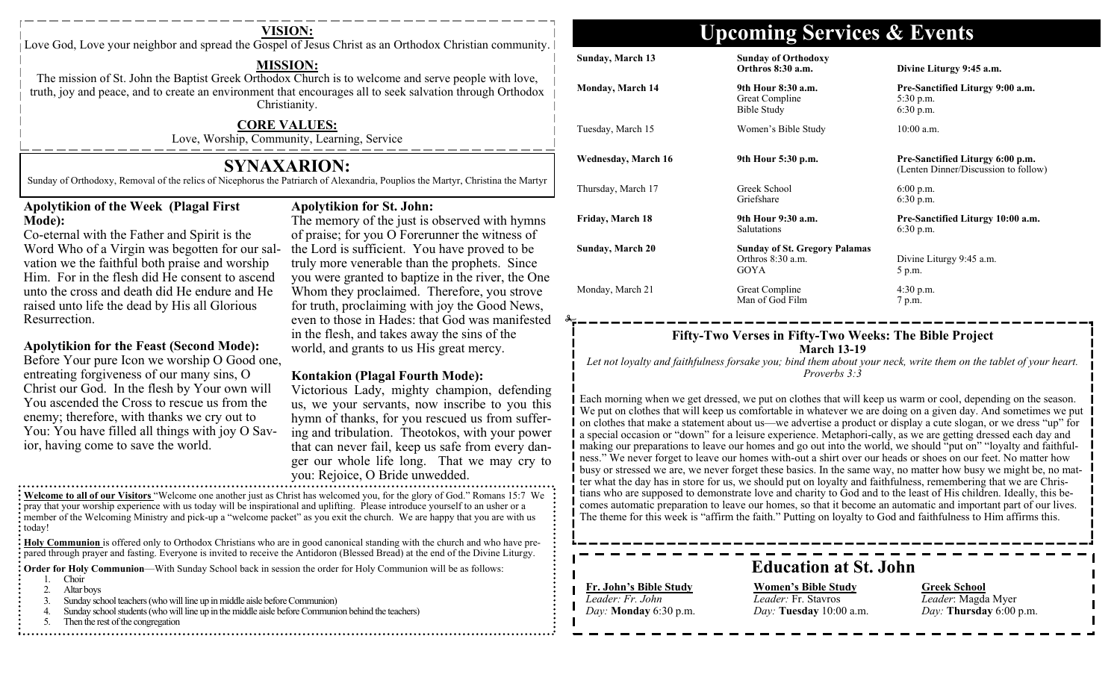Love God, Love your neighbor and spread the Gospel of Jesus Christ as an Orthodox Christian community.

### **MISSION:**

The mission of St. John the Baptist Greek Orthodox Church is to welcome and serve people with love, truth, joy and peace, and to create an environment that encourages all to seek salvation through Orthodox Christianity.

### **CORE VALUES:**

Love, Worship, Community, Learning, Service

## **SYNAXARION:**

Sunday of Orthodoxy, Removal of the relics of Nicephorus the Patriarch of Alexandria, Pouplios the Martyr, Christina the Martyr

### **Apolytikion of the Week (Plagal First Mode):**

Co-eternal with the Father and Spirit is the Word Who of a Virgin was begotten for our salvation we the faithful both praise and worship Him. For in the flesh did He consent to ascend unto the cross and death did He endure and He raised unto life the dead by His all Glorious Resurrection.

### **Apolytikion for the Feast (Second Mode):**

Before Your pure Icon we worship O Good one, entreating forgiveness of our many sins, O Christ our God. In the flesh by Your own will You ascended the Cross to rescue us from the enemy; therefore, with thanks we cry out to You: You have filled all things with joy O Savior, having come to save the world.

### **Apolytikion for St. John:**

The memory of the just is observed with hymns of praise; for you O Forerunner the witness of the Lord is sufficient. You have proved to be truly more venerable than the prophets. Since you were granted to baptize in the river, the One Whom they proclaimed. Therefore, you strove for truth, proclaiming with joy the Good News, even to those in Hades: that God was manifested in the flesh, and takes away the sins of the world, and grants to us His great mercy.

### **Kontakion (Plagal Fourth Mode):**

Victorious Lady, mighty champion, defending us, we your servants, now inscribe to you this hymn of thanks, for you rescued us from suffering and tribulation. Theotokos, with your power that can never fail, keep us safe from every danger our whole life long. That we may cry to you: Rejoice, O Bride unwedded.

**Welcome to all of our Visitors** "Welcome one another just as Christ has welcomed you, for the glory of God." Romans 15:7 We pray that your worship experience with us today will be inspirational and uplifting. Please introduce yourself to an usher or a member of the Welcoming Ministry and pick-up a "welcome packet" as you exit the church. We are happy that you are with us : today!

**Holy Communion** is offered only to Orthodox Christians who are in good canonical standing with the church and who have prepared through prayer and fasting. Everyone is invited to receive the Antidoron (Blessed Bread) at the end of the Divine Liturgy.

**Order for Holy Communion—With Sunday School back in session the order for Holy Communion will be as follows:** 

- 1. Choir
- 2. Altar boys
- 3. Sunday school teachers (who will line up in middle aisle before Communion)
- 4. Sunday school students (who will line up in the middle aisle before Communion behind the teachers)
- 5. Then the rest of the congregation

# **VISION: Upcoming Services & Events**

| <b>Sunday, March 13</b> | <b>Sunday of Orthodoxy</b><br>Orthros 8:30 a.m.                          | <b>Divine Lit</b>                            |
|-------------------------|--------------------------------------------------------------------------|----------------------------------------------|
| <b>Monday, March 14</b> | 9th Hour 8:30 a.m.<br>Great Compline<br>Bible Study                      | <b>Pre-Sanct</b><br>5:30 p.m.<br>$6:30$ p.m. |
| Tuesday, March 15       | Women's Bible Study                                                      | $10:00$ a.m.                                 |
| Wednesday, March 16     | 9th Hour 5:30 p.m.                                                       | <b>Pre-Sanct</b><br>(Lenten Di               |
| Thursday, March 17      | Greek School<br>Griefshare                                               | $6:00$ p.m.<br>$6:30$ p.m.                   |
| Friday, March 18        | 9th Hour 9:30 a.m.<br><b>Salutations</b>                                 | <b>Pre-Sanct</b><br>$6:30$ p.m.              |
| <b>Sunday, March 20</b> | <b>Sunday of St. Gregory Palamas</b><br>Orthros 8:30 a.m.<br><b>GOYA</b> | Divine Lit<br>5 p.m.                         |
| Monday, March 21        | Great Compline                                                           | $4:30$ p.m.                                  |

#### **Orthros 8:30 a.m. Divine Liturgy 9:45 a.m.**

**a.m. Pre-Sanctified Liturgy 9:00 a.m.**  $5:30$  p.m.  $6:30$  p.m.

**Pre-Sanctified Liturgy 6:00 p.m.** (Lenten Dinner/Discussion to follow)

**Fre-Sanctified Liturgy 10:00 a.m. Pre-** $6:30$  p.m.

m. Divine Liturgy 9:45 a.m. 5 p.m.

Man of God Film 7 p.m.

### **Fifty-Two Verses in Fifty-Two Weeks: The Bible Project March 13-19**

*Let not loyalty and faithfulness forsake you; bind them about your neck, write them on the tablet of your heart. Proverbs 3:3* 

Each morning when we get dressed, we put on clothes that will keep us warm or cool, depending on the season. We put on clothes that will keep us comfortable in whatever we are doing on a given day. And sometimes we put on clothes that make a statement about us—we advertise a product or display a cute slogan, or we dress "up" for a special occasion or "down" for a leisure experience. Metaphori-cally, as we are getting dressed each day and making our preparations to leave our homes and go out into the world, we should "put on" "loyalty and faithfulness." We never forget to leave our homes with-out a shirt over our heads or shoes on our feet. No matter how busy or stressed we are, we never forget these basics. In the same way, no matter how busy we might be, no matter what the day has in store for us, we should put on loyalty and faithfulness, remembering that we are Christians who are supposed to demonstrate love and charity to God and to the least of His children. Ideally, this becomes automatic preparation to leave our homes, so that it become an automatic and important part of our lives. The theme for this week is "affirm the faith." Putting on loyalty to God and faithfulness to Him affirms this.

## **Education at St. John**

## **Fr. John's Bible Study**

*Leader: Fr. John Day:* **Monday** 6:30 p.m.

**Women's Bible Study** *Leader:* Fr. Stavros *Day:* **Tuesday** 10:00 a.m.

### **Greek School** *Leader*: Magda Myer *Day:* **Thursday** 6:00 p.m.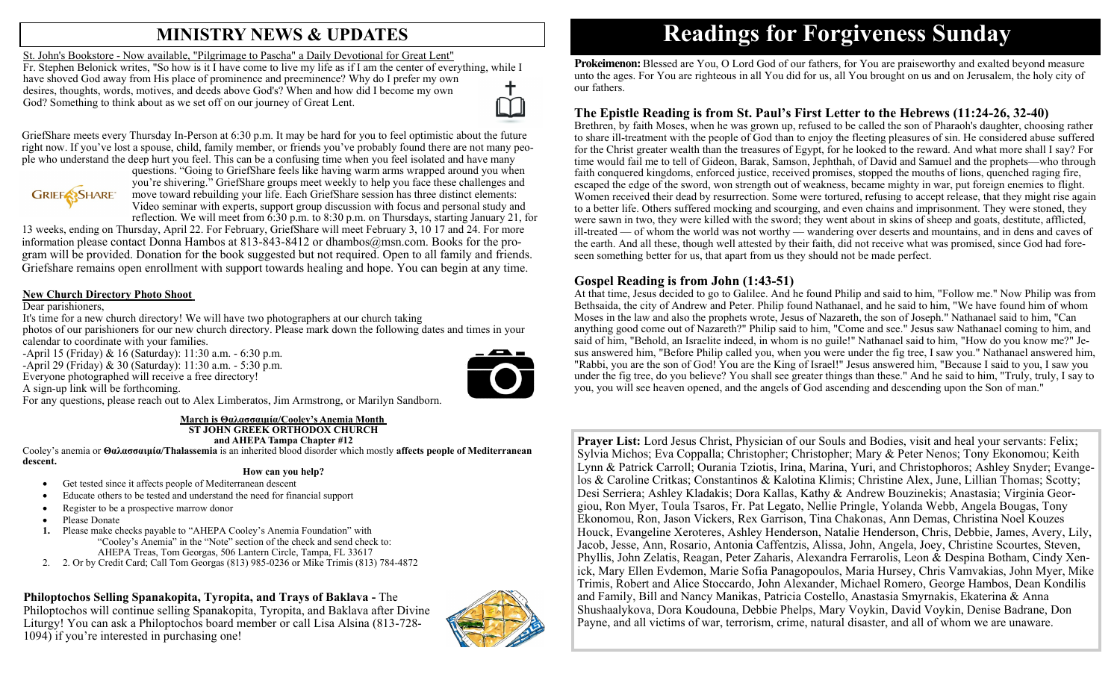## **MINISTRY NEWS & UPDATES**

St. John's Bookstore - Now available, "Pilgrimage to Pascha" a Daily Devotional for Great Lent" Fr. Stephen Belonick writes, "So how is it I have come to live my life as if I am the center of everything, while I have shoved God away from His place of prominence and preeminence? Why do I prefer my own desires, thoughts, words, motives, and deeds above God's? When and how did I become my own God? Something to think about as we set off on our journey of Great Lent.

GriefShare meets every Thursday In-Person at 6:30 p.m. It may be hard for you to feel optimistic about the future right now. If you've lost a spouse, child, family member, or friends you've probably found there are not many people who understand the deep hurt you feel. This can be a confusing time when you feel isolated and have many



questions. "Going to GriefShare feels like having warm arms wrapped around you when you're shivering." GriefShare groups meet weekly to help you face these challenges and move toward rebuilding your life. Each GriefShare session has three distinct elements: Video seminar with experts, support group discussion with focus and personal study and reflection. We will meet from 6:30 p.m. to 8:30 p.m. on Thursdays, starting January 21, for

13 weeks, ending on Thursday, April 22. For February, GriefShare will meet February 3, 10 17 and 24. For more information please contact Donna Hambos at 813-843-8412 or dhambos@msn.com. Books for the program will be provided. Donation for the book suggested but not required. Open to all family and friends. Griefshare remains open enrollment with support towards healing and hope. You can begin at any time.

### **New Church Directory Photo Shoot**

Dear parishioners,

It's time for a new church directory! We will have two photographers at our church taking

photos of our parishioners for our new church directory. Please mark down the following dates and times in your calendar to coordinate with your families.

-April 15 (Friday) & 16 (Saturday): 11:30 a.m. - 6:30 p.m. -April 29 (Friday) & 30 (Saturday): 11:30 a.m. - 5:30 p.m. Everyone photographed will receive a free directory!

A sign-up link will be forthcoming.

For any questions, please reach out to Alex Limberatos, Jim Armstrong, or Marilyn Sandborn.

#### **March is Θαλασσαιμία/Cooley's Anemia Month ST JOHN GREEK ORTHODOX CHURCH and AHEPA Tampa Chapter #12**

Cooley's anemia or **Θαλασσαιμία/Thalassemia** is an inherited blood disorder which mostly **affects people of Mediterranean descent.**

### **How can you help?**

- Get tested since it affects people of Mediterranean descent
- Educate others to be tested and understand the need for financial support
- Register to be a prospective marrow donor
- Please Donate
- **1.** Please make checks payable to "AHEPA Cooley's Anemia Foundation" with "Cooley's Anemia" in the "Note" section of the check and send check to: AHEPA Treas, Tom Georgas, 506 Lantern Circle, Tampa, FL 33617
- 2. 2. Or by Credit Card; Call Tom Georgas (813) 985-0236 or Mike Trimis (813) 784-4872

### **Philoptochos Selling Spanakopita, Tyropita, and Trays of Baklava -** The

Philoptochos will continue selling Spanakopita, Tyropita, and Baklava after Divine Liturgy! You can ask a Philoptochos board member or call Lisa Alsina (813-728- 1094) if you're interested in purchasing one!



# **Readings for Forgiveness Sunday**

**Prokeimenon:** Blessed are You, O Lord God of our fathers, for You are praiseworthy and exalted beyond measure unto the ages. For You are righteous in all You did for us, all You brought on us and on Jerusalem, the holy city of our fathers.

## **The Epistle Reading is from St. Paul's First Letter to the Hebrews (11:24-26, 32-40)**

Brethren, by faith Moses, when he was grown up, refused to be called the son of Pharaoh's daughter, choosing rather to share ill-treatment with the people of God than to enjoy the fleeting pleasures of sin. He considered abuse suffered for the Christ greater wealth than the treasures of Egypt, for he looked to the reward. And what more shall I say? For time would fail me to tell of Gideon, Barak, Samson, Jephthah, of David and Samuel and the prophets—who through faith conquered kingdoms, enforced justice, received promises, stopped the mouths of lions, quenched raging fire, escaped the edge of the sword, won strength out of weakness, became mighty in war, put foreign enemies to flight. Women received their dead by resurrection. Some were tortured, refusing to accept release, that they might rise again to a better life. Others suffered mocking and scourging, and even chains and imprisonment. They were stoned, they were sawn in two, they were killed with the sword; they went about in skins of sheep and goats, destitute, afflicted, ill-treated — of whom the world was not worthy — wandering over deserts and mountains, and in dens and caves of the earth. And all these, though well attested by their faith, did not receive what was promised, since God had foreseen something better for us, that apart from us they should not be made perfect.

### **Gospel Reading is from John (1:43-51)**

At that time, Jesus decided to go to Galilee. And he found Philip and said to him, "Follow me." Now Philip was from Bethsaida, the city of Andrew and Peter. Philip found Nathanael, and he said to him, "We have found him of whom Moses in the law and also the prophets wrote, Jesus of Nazareth, the son of Joseph." Nathanael said to him, "Can anything good come out of Nazareth?" Philip said to him, "Come and see." Jesus saw Nathanael coming to him, and said of him, "Behold, an Israelite indeed, in whom is no guile!" Nathanael said to him, "How do you know me?" Jesus answered him, "Before Philip called you, when you were under the fig tree, I saw you." Nathanael answered him, "Rabbi, you are the son of God! You are the King of Israel!" Jesus answered him, "Because I said to you, I saw you under the fig tree, do you believe? You shall see greater things than these." And he said to him, "Truly, truly, I say to you, you will see heaven opened, and the angels of God ascending and descending upon the Son of man."

**Prayer List:** Lord Jesus Christ, Physician of our Souls and Bodies, visit and heal your servants: Felix; Sylvia Michos; Eva Coppalla; Christopher; Christopher; Mary & Peter Nenos; Tony Ekonomou; Keith Lynn & Patrick Carroll; Ourania Tziotis, Irina, Marina, Yuri, and Christophoros; Ashley Snyder; Evangelos & Caroline Critkas; Constantinos & Kalotina Klimis; Christine Alex, June, Lillian Thomas; Scotty; Desi Serriera; Ashley Kladakis; Dora Kallas, Kathy & Andrew Bouzinekis; Anastasia; Virginia Georgiou, Ron Myer, Toula Tsaros, Fr. Pat Legato, Nellie Pringle, Yolanda Webb, Angela Bougas, Tony Ekonomou, Ron, Jason Vickers, Rex Garrison, Tina Chakonas, Ann Demas, Christina Noel Kouzes Houck, Evangeline Xeroteres, Ashley Henderson, Natalie Henderson, Chris, Debbie, James, Avery, Lily, Jacob, Jesse, Ann, Rosario, Antonia Caffentzis, Alissa, John, Angela, Joey, Christine Scourtes, Steven, Phyllis, John Zelatis, Reagan, Peter Zaharis, Alexandra Ferrarolis, Leon & Despina Botham, Cindy Xenick, Mary Ellen Evdemon, Marie Sofia Panagopoulos, Maria Hursey, Chris Vamvakias, John Myer, Mike Trimis, Robert and Alice Stoccardo, John Alexander, Michael Romero, George Hambos, Dean Kondilis and Family, Bill and Nancy Manikas, Patricia Costello, Anastasia Smyrnakis, Ekaterina & Anna Shushaalykova, Dora Koudouna, Debbie Phelps, Mary Voykin, David Voykin, Denise Badrane, Don Payne, and all victims of war, terrorism, crime, natural disaster, and all of whom we are unaware.